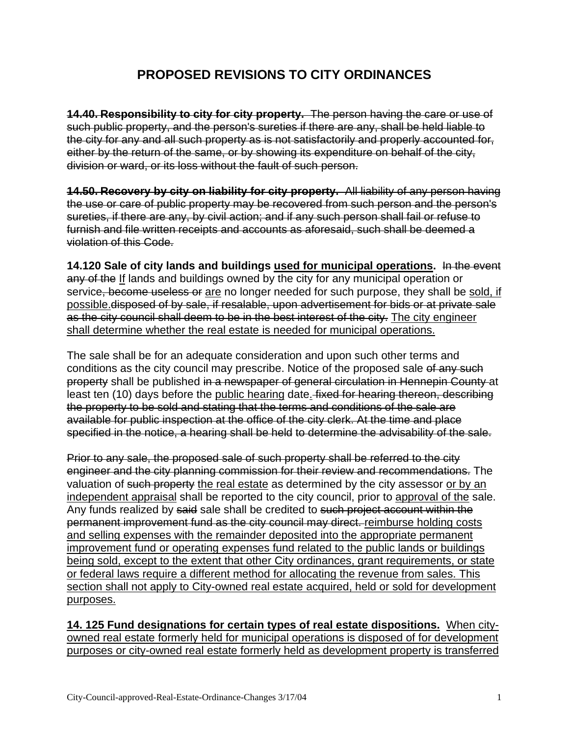## **PROPOSED REVISIONS TO CITY ORDINANCES**

**14.40. Responsibility to city for city property.** The person having the care or use of such public property, and the person's sureties if there are any, shall be held liable to the city for any and all such property as is not satisfactorily and properly accounted for, either by the return of the same, or by showing its expenditure on behalf of the city, division or ward, or its loss without the fault of such person.

**14.50. Recovery by city on liability for city property.** All liability of any person having the use or care of public property may be recovered from such person and the person's sureties, if there are any, by civil action; and if any such person shall fail or refuse to furnish and file written receipts and accounts as aforesaid, such shall be deemed a violation of this Code.

**14.120 Sale of city lands and buildings used for municipal operations.** In the event any of the If lands and buildings owned by the city for any municipal operation or service, become useless or are no longer needed for such purpose, they shall be sold, if possible.disposed of by sale, if resalable, upon advertisement for bids or at private sale as the city council shall deem to be in the best interest of the city. The city engineer shall determine whether the real estate is needed for municipal operations.

The sale shall be for an adequate consideration and upon such other terms and conditions as the city council may prescribe. Notice of the proposed sale of any such property shall be published in a newspaper of general circulation in Hennepin County at least ten (10) days before the public hearing date. fixed for hearing thereon, describing the property to be sold and stating that the terms and conditions of the sale are available for public inspection at the office of the city clerk. At the time and place specified in the notice, a hearing shall be held to determine the advisability of the sale.

Prior to any sale, the proposed sale of such property shall be referred to the city engineer and the city planning commission for their review and recommendations. The valuation of such property the real estate as determined by the city assessor or by an independent appraisal shall be reported to the city council, prior to approval of the sale. Any funds realized by said sale shall be credited to such project account within the permanent improvement fund as the city council may direct. reimburse holding costs and selling expenses with the remainder deposited into the appropriate permanent improvement fund or operating expenses fund related to the public lands or buildings being sold, except to the extent that other City ordinances, grant requirements, or state or federal laws require a different method for allocating the revenue from sales. This section shall not apply to City-owned real estate acquired, held or sold for development purposes.

**14. 125 Fund designations for certain types of real estate dispositions.** When cityowned real estate formerly held for municipal operations is disposed of for development purposes or city-owned real estate formerly held as development property is transferred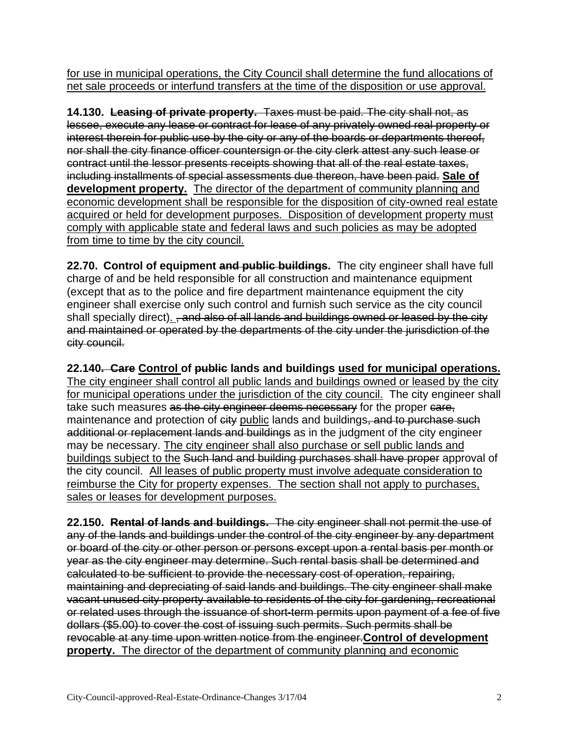for use in municipal operations, the City Council shall determine the fund allocations of net sale proceeds or interfund transfers at the time of the disposition or use approval.

**14.130. Leasing of private property.** Taxes must be paid. The city shall not, as lessee, execute any lease or contract for lease of any privately owned real property or interest therein for public use by the city or any of the boards or departments thereof, nor shall the city finance officer countersign or the city clerk attest any such lease or contract until the lessor presents receipts showing that all of the real estate taxes, including installments of special assessments due thereon, have been paid. **Sale of development property.** The director of the department of community planning and economic development shall be responsible for the disposition of city-owned real estate acquired or held for development purposes. Disposition of development property must comply with applicable state and federal laws and such policies as may be adopted from time to time by the city council.

**22.70. Control of equipment and public buildings.** The city engineer shall have full charge of and be held responsible for all construction and maintenance equipment (except that as to the police and fire department maintenance equipment the city engineer shall exercise only such control and furnish such service as the city council shall specially direct). <del>, and also of all lands and buildings owned or leased by the city</del> and maintained or operated by the departments of the city under the jurisdiction of the city council.

**22.140. Care Control of public lands and buildings used for municipal operations.** The city engineer shall control all public lands and buildings owned or leased by the city for municipal operations under the jurisdiction of the city council.The city engineer shall take such measures as the city engineer deems necessary for the proper care, maintenance and protection of  $e$ ity public lands and buildings, and to purchase such additional or replacement lands and buildings as in the judgment of the city engineer may be necessary. The city engineer shall also purchase or sell public lands and buildings subject to the Such land and building purchases shall have proper approval of the city council. All leases of public property must involve adequate consideration to reimburse the City for property expenses. The section shall not apply to purchases, sales or leases for development purposes.

**22.150. Rental of lands and buildings.** The city engineer shall not permit the use of any of the lands and buildings under the control of the city engineer by any department or board of the city or other person or persons except upon a rental basis per month or year as the city engineer may determine. Such rental basis shall be determined and calculated to be sufficient to provide the necessary cost of operation, repairing, maintaining and depreciating of said lands and buildings. The city engineer shall make vacant unused city property available to residents of the city for gardening, recreational or related uses through the issuance of short-term permits upon payment of a fee of five dollars (\$5.00) to cover the cost of issuing such permits. Such permits shall be revocable at any time upon written notice from the engineer.**Control of development property.** The director of the department of community planning and economic